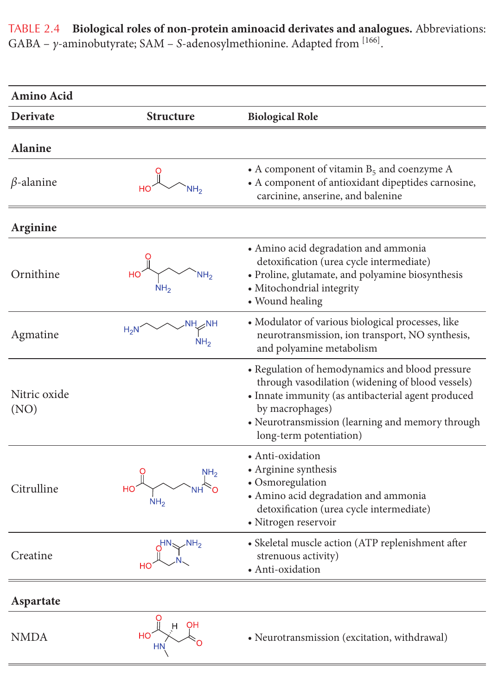TABLE 2.4 Biological roles of non-protein aminoacid derivates and analogues. Abbreviations: GABA –  $\gamma$ -aminobutyrate; SAM – S-adenosylmethionine. Adapted from [166].

| <b>Amino Acid</b>    |                                    |                                                                                                                                                                                                                                                             |
|----------------------|------------------------------------|-------------------------------------------------------------------------------------------------------------------------------------------------------------------------------------------------------------------------------------------------------------|
| Derivate             | <b>Structure</b>                   | <b>Biological Role</b>                                                                                                                                                                                                                                      |
| <b>Alanine</b>       |                                    |                                                                                                                                                                                                                                                             |
| $\beta$ -alanine     |                                    | • A component of vitamin $B_5$ and coenzyme A<br>• A component of antioxidant dipeptides carnosine,<br>carcinine, anserine, and balenine                                                                                                                    |
| Arginine             |                                    |                                                                                                                                                                                                                                                             |
| Ornithine            | NH <sub>2</sub><br>NH <sub>2</sub> | • Amino acid degradation and ammonia<br>detoxification (urea cycle intermediate)<br>• Proline, glutamate, and polyamine biosynthesis<br>• Mitochondrial integrity<br>• Wound healing                                                                        |
| Agmatine             |                                    | • Modulator of various biological processes, like<br>neurotransmission, ion transport, NO synthesis,<br>and polyamine metabolism                                                                                                                            |
| Nitric oxide<br>(NO) |                                    | • Regulation of hemodynamics and blood pressure<br>through vasodilation (widening of blood vessels)<br>• Innate immunity (as antibacterial agent produced<br>by macrophages)<br>• Neurotransmission (learning and memory through<br>long-term potentiation) |
| Citrulline           | NH <sub>2</sub><br>NH <sub>2</sub> | • Anti-oxidation<br>• Arginine synthesis<br>• Osmoregulation<br>• Amino acid degradation and ammonia<br>detoxification (urea cycle intermediate)<br>· Nitrogen reservoir                                                                                    |
| Creatine             |                                    | • Skeletal muscle action (ATP replenishment after<br>strenuous activity)<br>· Anti-oxidation                                                                                                                                                                |
| Aspartate            |                                    |                                                                                                                                                                                                                                                             |
| <b>NMDA</b>          | ΟH<br>HO                           | • Neurotransmission (excitation, withdrawal)                                                                                                                                                                                                                |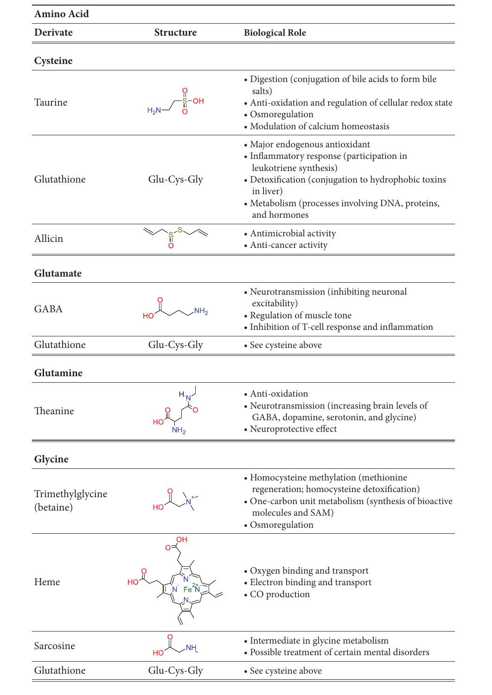| Amino Acid                    |                              |                                                                                                                                                                                                                                               |
|-------------------------------|------------------------------|-----------------------------------------------------------------------------------------------------------------------------------------------------------------------------------------------------------------------------------------------|
| Derivate                      | <b>Structure</b>             | <b>Biological Role</b>                                                                                                                                                                                                                        |
| Cysteine                      |                              |                                                                                                                                                                                                                                               |
| Taurine                       |                              | • Digestion (conjugation of bile acids to form bile<br>salts)<br>• Anti-oxidation and regulation of cellular redox state<br>• Osmoregulation<br>• Modulation of calcium homeostasis                                                           |
| Glutathione                   | Glu-Cys-Gly                  | · Major endogenous antioxidant<br>• Inflammatory response (participation in<br>leukotriene synthesis)<br>• Detoxification (conjugation to hydrophobic toxins<br>in liver)<br>• Metabolism (processes involving DNA, proteins,<br>and hormones |
| Allicin                       |                              | • Antimicrobial activity<br>• Anti-cancer activity                                                                                                                                                                                            |
| Glutamate                     |                              |                                                                                                                                                                                                                                               |
| <b>GABA</b>                   | <b>NH<sub>2</sub></b>        | • Neurotransmission (inhibiting neuronal<br>excitability)<br>• Regulation of muscle tone<br>• Inhibition of T-cell response and inflammation                                                                                                  |
| Glutathione                   | Glu-Cys-Gly                  | • See cysteine above                                                                                                                                                                                                                          |
| Glutamine                     |                              |                                                                                                                                                                                                                                               |
| Theanine                      | н.,<br>HО<br>NH <sub>2</sub> | • Anti-oxidation<br>• Neurotransmission (increasing brain levels of<br>GABA, dopamine, serotonin, and glycine)<br>• Neuroprotective effect                                                                                                    |
| Glycine                       |                              |                                                                                                                                                                                                                                               |
| Trimethylglycine<br>(betaine) |                              | • Homocysteine methylation (methionine<br>regeneration; homocysteine detoxification)<br>• One-carbon unit metabolism (synthesis of bioactive<br>molecules and SAM)<br>• Osmoregulation                                                        |
| Heme                          | $Fe2+N$                      | • Oxygen binding and transport<br>• Electron binding and transport<br>• CO production                                                                                                                                                         |
| Sarcosine                     | NΗ                           | • Intermediate in glycine metabolism<br>• Possible treatment of certain mental disorders                                                                                                                                                      |
| Glutathione                   | Glu-Cys-Gly                  | • See cysteine above                                                                                                                                                                                                                          |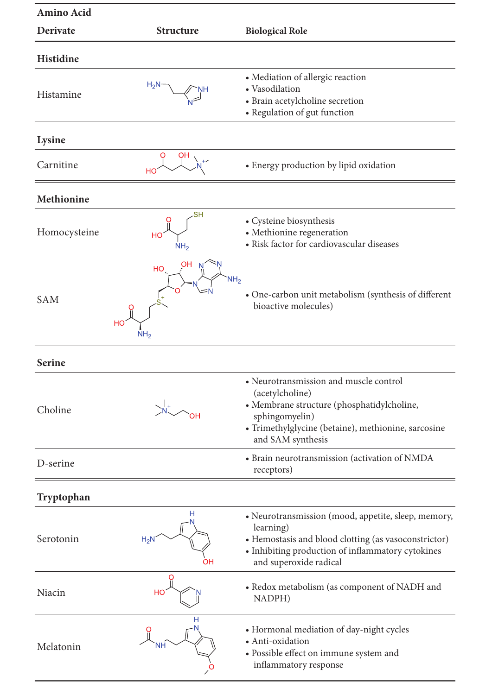| Amino Acid    |                                                             |                                                                                                                                                                                                         |
|---------------|-------------------------------------------------------------|---------------------------------------------------------------------------------------------------------------------------------------------------------------------------------------------------------|
| Derivate      | <b>Structure</b>                                            | <b>Biological Role</b>                                                                                                                                                                                  |
| Histidine     |                                                             |                                                                                                                                                                                                         |
| Histamine     |                                                             | • Mediation of allergic reaction<br>• Vasodilation<br>• Brain acetylcholine secretion<br>• Regulation of gut function                                                                                   |
| Lysine        |                                                             |                                                                                                                                                                                                         |
| Carnitine     | HO                                                          | • Energy production by lipid oxidation                                                                                                                                                                  |
| Methionine    |                                                             |                                                                                                                                                                                                         |
| Homocysteine  | .SH<br>HO<br>NH <sub>2</sub>                                | • Cysteine biosynthesis<br>• Methionine regeneration<br>• Risk factor for cardiovascular diseases                                                                                                       |
| <b>SAM</b>    | <b>OH</b><br>HO<br>NH <sub>2</sub><br>HС<br>NH <sub>2</sub> | • One-carbon unit metabolism (synthesis of different<br>bioactive molecules)                                                                                                                            |
| <b>Serine</b> |                                                             |                                                                                                                                                                                                         |
| Choline       |                                                             | • Neurotransmission and muscle control<br>(acetylcholine)<br>• Membrane structure (phosphatidylcholine,<br>sphingomyelin)<br>· Trimethylglycine (betaine), methionine, sarcosine<br>and SAM synthesis   |
| D-serine      |                                                             | • Brain neurotransmission (activation of NMDA<br>receptors)                                                                                                                                             |
| Tryptophan    |                                                             |                                                                                                                                                                                                         |
| Serotonin     | Н<br>$H_2N$<br>ΟH                                           | • Neurotransmission (mood, appetite, sleep, memory,<br>learning)<br>• Hemostasis and blood clotting (as vasoconstrictor)<br>• Inhibiting production of inflammatory cytokines<br>and superoxide radical |
| Niacin        | HO                                                          | • Redox metabolism (as component of NADH and<br>NADPH)                                                                                                                                                  |
| Melatonin     | NF                                                          | • Hormonal mediation of day-night cycles<br>· Anti-oxidation<br>· Possible effect on immune system and<br>inflammatory response                                                                         |